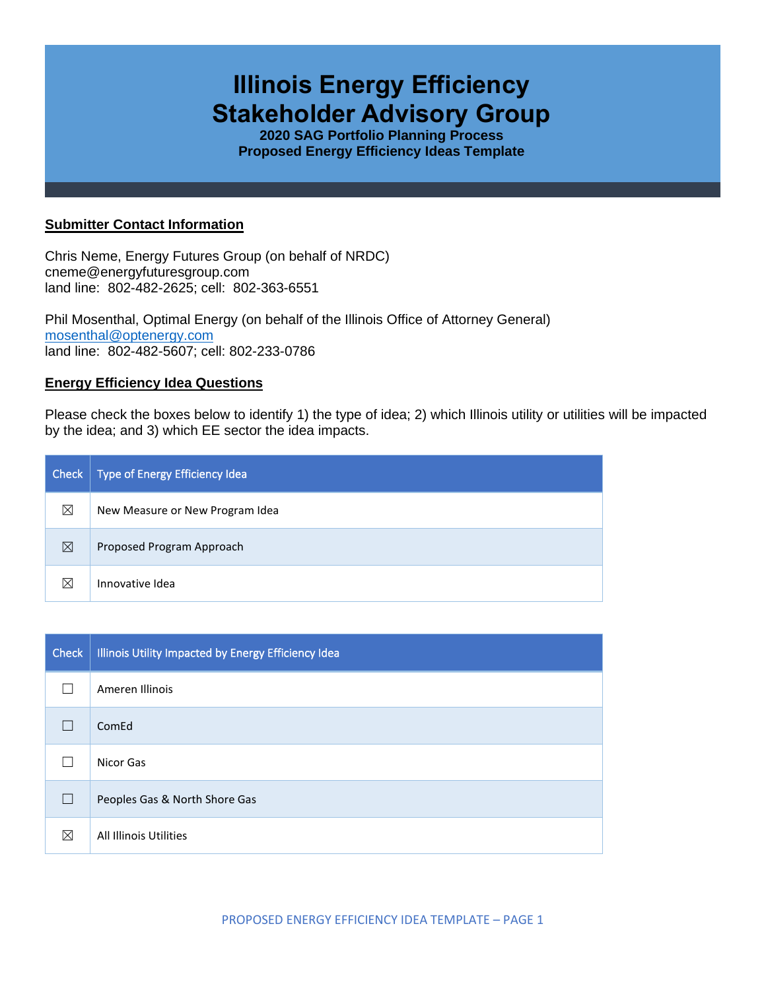# **Illinois Energy Efficiency Stakeholder Advisory Group**

**2020 SAG Portfolio Planning Process Proposed Energy Efficiency Ideas Template**

## **Submitter Contact Information**

Chris Neme, Energy Futures Group (on behalf of NRDC) cneme@energyfuturesgroup.com land line: 802-482-2625; cell: 802-363-6551

Phil Mosenthal, Optimal Energy (on behalf of the Illinois Office of Attorney General) [mosenthal@optenergy.com](mailto:mosenthal@optenergy.com) land line: 802-482-5607; cell: 802-233-0786

### **Energy Efficiency Idea Questions**

Please check the boxes below to identify 1) the type of idea; 2) which Illinois utility or utilities will be impacted by the idea; and 3) which EE sector the idea impacts.

| Check       | Type of Energy Efficiency Idea  |
|-------------|---------------------------------|
| ⊠           | New Measure or New Program Idea |
| ⊠           | Proposed Program Approach       |
| $\boxtimes$ | Innovative Idea                 |

| <b>Check</b> | Illinois Utility Impacted by Energy Efficiency Idea |
|--------------|-----------------------------------------------------|
|              | Ameren Illinois                                     |
|              | ComEd                                               |
|              | Nicor Gas                                           |
|              | Peoples Gas & North Shore Gas                       |
| ⊠            | All Illinois Utilities                              |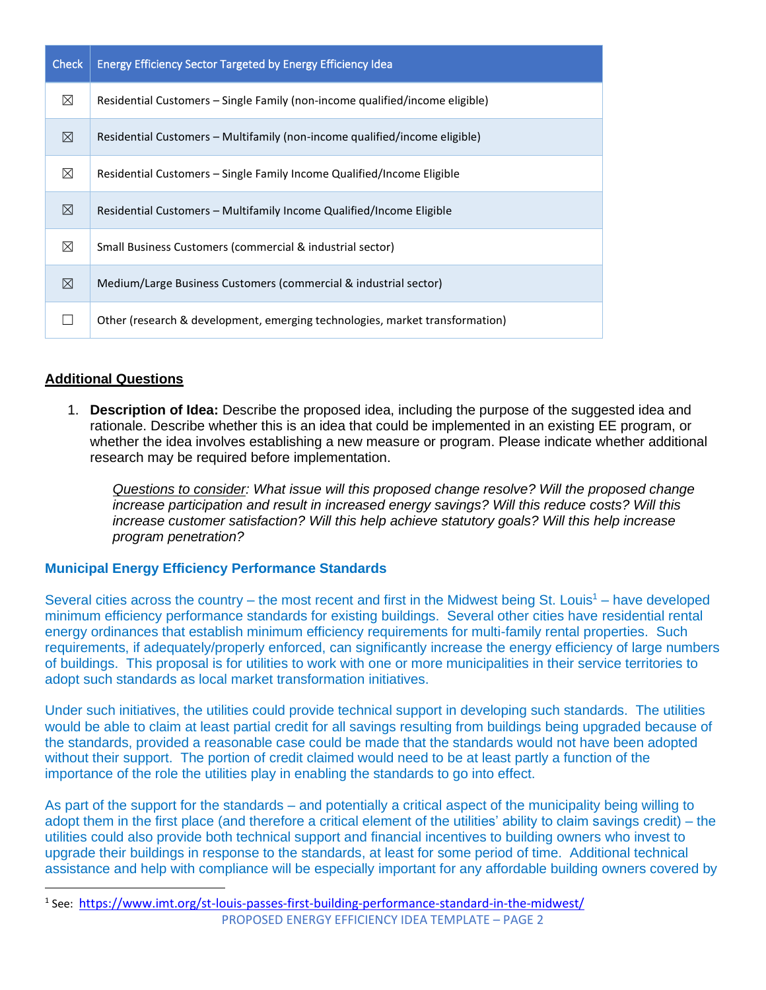| <b>Check</b> | <b>Energy Efficiency Sector Targeted by Energy Efficiency Idea</b>           |
|--------------|------------------------------------------------------------------------------|
| ⊠            | Residential Customers – Single Family (non-income qualified/income eligible) |
| ⊠            | Residential Customers – Multifamily (non-income qualified/income eligible)   |
| $\boxtimes$  | Residential Customers – Single Family Income Qualified/Income Eligible       |
| ⊠            | Residential Customers – Multifamily Income Qualified/Income Eligible         |
| ⊠            | Small Business Customers (commercial & industrial sector)                    |
| ⊠            | Medium/Large Business Customers (commercial & industrial sector)             |
|              | Other (research & development, emerging technologies, market transformation) |

## **Additional Questions**

1. **Description of Idea:** Describe the proposed idea, including the purpose of the suggested idea and rationale. Describe whether this is an idea that could be implemented in an existing EE program, or whether the idea involves establishing a new measure or program. Please indicate whether additional research may be required before implementation.

*Questions to consider: What issue will this proposed change resolve? Will the proposed change increase participation and result in increased energy savings? Will this reduce costs? Will this increase customer satisfaction? Will this help achieve statutory goals? Will this help increase program penetration?* 

## **Municipal Energy Efficiency Performance Standards**

Several cities across the country – the most recent and first in the Midwest being St. Louis<sup>1</sup> – have developed minimum efficiency performance standards for existing buildings. Several other cities have residential rental energy ordinances that establish minimum efficiency requirements for multi-family rental properties. Such requirements, if adequately/properly enforced, can significantly increase the energy efficiency of large numbers of buildings. This proposal is for utilities to work with one or more municipalities in their service territories to adopt such standards as local market transformation initiatives.

Under such initiatives, the utilities could provide technical support in developing such standards. The utilities would be able to claim at least partial credit for all savings resulting from buildings being upgraded because of the standards, provided a reasonable case could be made that the standards would not have been adopted without their support. The portion of credit claimed would need to be at least partly a function of the importance of the role the utilities play in enabling the standards to go into effect.

As part of the support for the standards – and potentially a critical aspect of the municipality being willing to adopt them in the first place (and therefore a critical element of the utilities' ability to claim savings credit) – the utilities could also provide both technical support and financial incentives to building owners who invest to upgrade their buildings in response to the standards, at least for some period of time. Additional technical assistance and help with compliance will be especially important for any affordable building owners covered by

PROPOSED ENERGY EFFICIENCY IDEA TEMPLATE – PAGE 2 <sup>1</sup> See: <https://www.imt.org/st-louis-passes-first-building-performance-standard-in-the-midwest/>